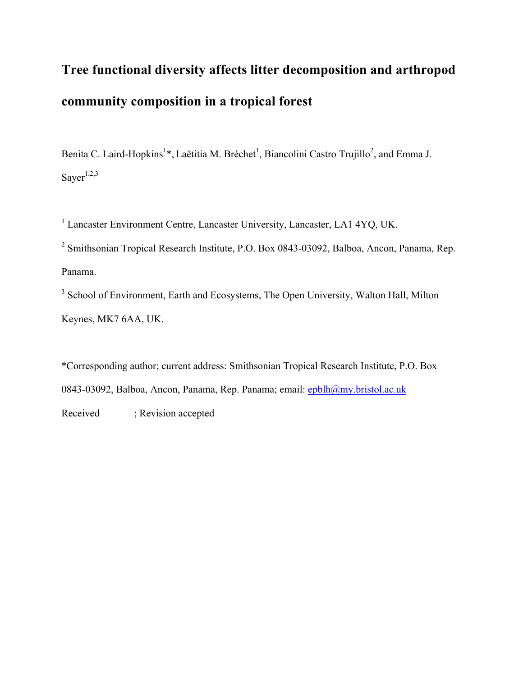# **Tree functional diversity affects litter decomposition and arthropod community composition in a tropical forest**

Benita C. Laird-Hopkins<sup>1</sup>\*, Laëtitia M. Bréchet<sup>1</sup>, Biancolini Castro Trujillo<sup>2</sup>, and Emma J. Saye $r^{1,2,3}$ 

<sup>1</sup> Lancaster Environment Centre, Lancaster University, Lancaster, LA1 4YQ, UK.

<sup>2</sup> Smithsonian Tropical Research Institute, P.O. Box 0843-03092, Balboa, Ancon, Panama, Rep. Panama.

<sup>3</sup> School of Environment, Earth and Ecosystems, The Open University, Walton Hall, Milton Keynes, MK7 6AA, UK.

\*Corresponding author; current address: Smithsonian Tropical Research Institute, P.O. Box 0843-03092, Balboa, Ancon, Panama, Rep. Panama; email: epblh@my.bristol.ac.uk Received ; Revision accepted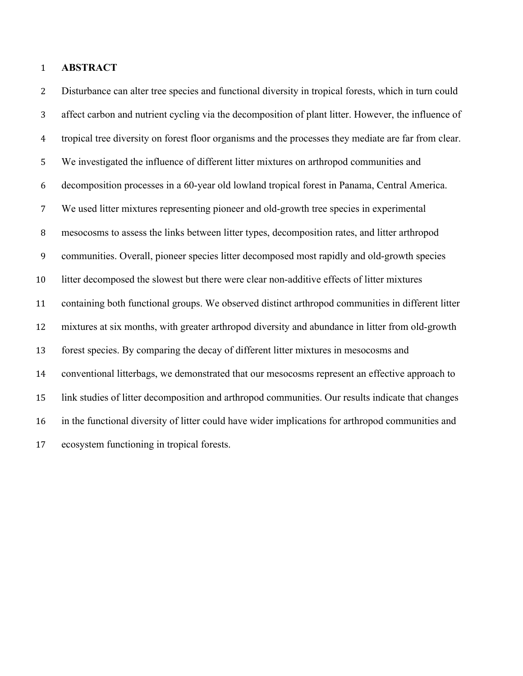# **ABSTRACT**

 Disturbance can alter tree species and functional diversity in tropical forests, which in turn could affect carbon and nutrient cycling via the decomposition of plant litter. However, the influence of tropical tree diversity on forest floor organisms and the processes they mediate are far from clear. We investigated the influence of different litter mixtures on arthropod communities and decomposition processes in a 60-year old lowland tropical forest in Panama, Central America. We used litter mixtures representing pioneer and old-growth tree species in experimental mesocosms to assess the links between litter types, decomposition rates, and litter arthropod communities. Overall, pioneer species litter decomposed most rapidly and old-growth species litter decomposed the slowest but there were clear non-additive effects of litter mixtures containing both functional groups. We observed distinct arthropod communities in different litter mixtures at six months, with greater arthropod diversity and abundance in litter from old-growth forest species. By comparing the decay of different litter mixtures in mesocosms and conventional litterbags, we demonstrated that our mesocosms represent an effective approach to link studies of litter decomposition and arthropod communities. Our results indicate that changes in the functional diversity of litter could have wider implications for arthropod communities and ecosystem functioning in tropical forests.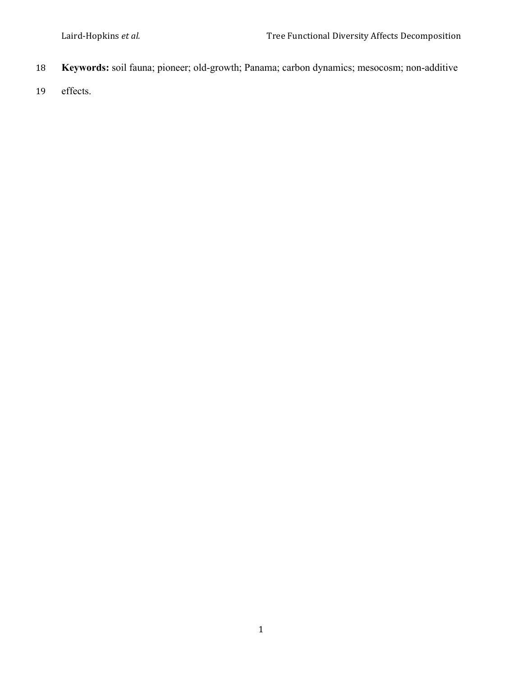- **Keywords:** soil fauna; pioneer; old-growth; Panama; carbon dynamics; mesocosm; non-additive
- effects.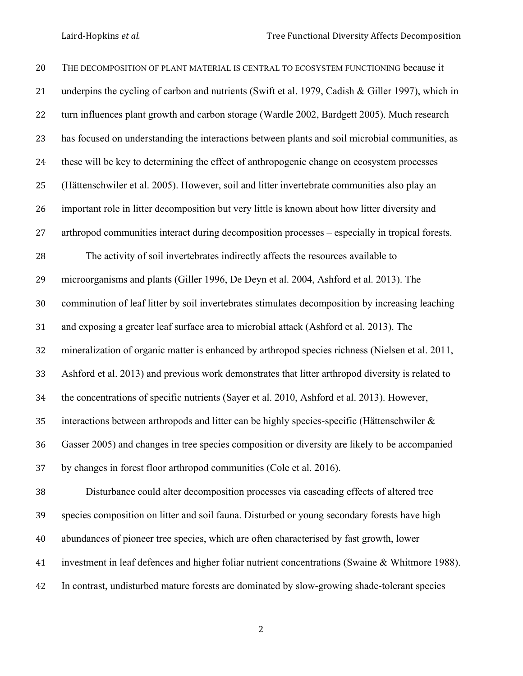| 20 | THE DECOMPOSITION OF PLANT MATERIAL IS CENTRAL TO ECOSYSTEM FUNCTIONING because it                |
|----|---------------------------------------------------------------------------------------------------|
| 21 | underpins the cycling of carbon and nutrients (Swift et al. 1979, Cadish & Giller 1997), which in |
| 22 | turn influences plant growth and carbon storage (Wardle 2002, Bardgett 2005). Much research       |
| 23 | has focused on understanding the interactions between plants and soil microbial communities, as   |
| 24 | these will be key to determining the effect of anthropogenic change on ecosystem processes        |
| 25 | (Hättenschwiler et al. 2005). However, soil and litter invertebrate communities also play an      |
| 26 | important role in litter decomposition but very little is known about how litter diversity and    |
| 27 | arthropod communities interact during decomposition processes – especially in tropical forests.   |
| 28 | The activity of soil invertebrates indirectly affects the resources available to                  |
| 29 | microorganisms and plants (Giller 1996, De Deyn et al. 2004, Ashford et al. 2013). The            |
| 30 | comminution of leaf litter by soil invertebrates stimulates decomposition by increasing leaching  |
| 31 | and exposing a greater leaf surface area to microbial attack (Ashford et al. 2013). The           |
| 32 | mineralization of organic matter is enhanced by arthropod species richness (Nielsen et al. 2011,  |
| 33 | Ashford et al. 2013) and previous work demonstrates that litter arthropod diversity is related to |
| 34 | the concentrations of specific nutrients (Sayer et al. 2010, Ashford et al. 2013). However,       |
| 35 | interactions between arthropods and litter can be highly species-specific (Hättenschwiler &       |
| 36 | Gasser 2005) and changes in tree species composition or diversity are likely to be accompanied    |
| 37 | by changes in forest floor arthropod communities (Cole et al. 2016).                              |
| 38 | Disturbance could alter decomposition processes via cascading effects of altered tree             |
| 39 | species composition on litter and soil fauna. Disturbed or young secondary forests have high      |
| 40 | abundances of pioneer tree species, which are often characterised by fast growth, lower           |
| 41 | investment in leaf defences and higher foliar nutrient concentrations (Swaine & Whitmore 1988).   |
| 42 | In contrast, undisturbed mature forests are dominated by slow-growing shade-tolerant species      |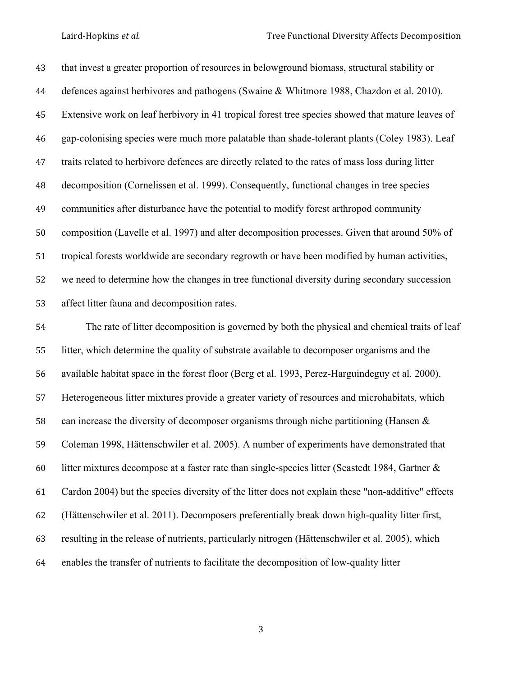that invest a greater proportion of resources in belowground biomass, structural stability or defences against herbivores and pathogens (Swaine & Whitmore 1988, Chazdon et al. 2010). Extensive work on leaf herbivory in 41 tropical forest tree species showed that mature leaves of gap-colonising species were much more palatable than shade-tolerant plants (Coley 1983). Leaf traits related to herbivore defences are directly related to the rates of mass loss during litter decomposition (Cornelissen et al. 1999). Consequently, functional changes in tree species communities after disturbance have the potential to modify forest arthropod community composition (Lavelle et al. 1997) and alter decomposition processes. Given that around 50% of tropical forests worldwide are secondary regrowth or have been modified by human activities, we need to determine how the changes in tree functional diversity during secondary succession affect litter fauna and decomposition rates.

 The rate of litter decomposition is governed by both the physical and chemical traits of leaf litter, which determine the quality of substrate available to decomposer organisms and the available habitat space in the forest floor (Berg et al. 1993, Perez-Harguindeguy et al. 2000). Heterogeneous litter mixtures provide a greater variety of resources and microhabitats, which can increase the diversity of decomposer organisms through niche partitioning (Hansen & Coleman 1998, Hättenschwiler et al. 2005). A number of experiments have demonstrated that litter mixtures decompose at a faster rate than single-species litter (Seastedt 1984, Gartner & Cardon 2004) but the species diversity of the litter does not explain these "non-additive" effects (Hättenschwiler et al. 2011). Decomposers preferentially break down high-quality litter first, resulting in the release of nutrients, particularly nitrogen (Hättenschwiler et al. 2005), which enables the transfer of nutrients to facilitate the decomposition of low-quality litter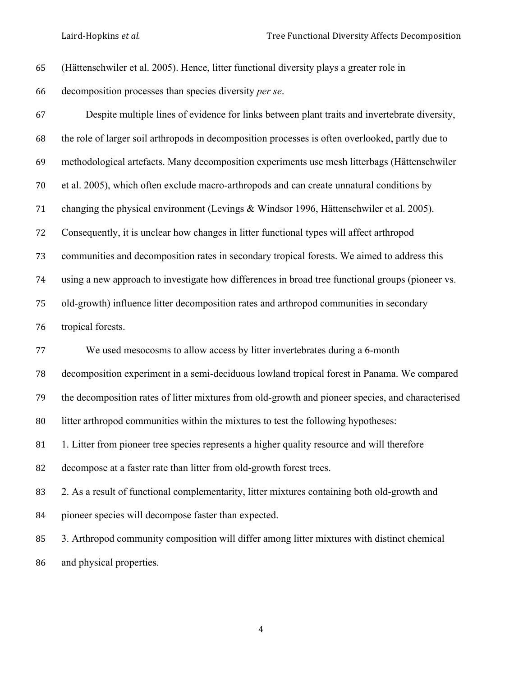| 65     | (Hättenschwiler et al. 2005). Hence, litter functional diversity plays a greater role in          |
|--------|---------------------------------------------------------------------------------------------------|
| 66     | decomposition processes than species diversity per se.                                            |
| 67     | Despite multiple lines of evidence for links between plant traits and invertebrate diversity,     |
| 68     | the role of larger soil arthropods in decomposition processes is often overlooked, partly due to  |
| 69     | methodological artefacts. Many decomposition experiments use mesh litterbags (Hättenschwiler      |
| $70\,$ | et al. 2005), which often exclude macro-arthropods and can create unnatural conditions by         |
| 71     | changing the physical environment (Levings & Windsor 1996, Hättenschwiler et al. 2005).           |
| 72     | Consequently, it is unclear how changes in litter functional types will affect arthropod          |
| 73     | communities and decomposition rates in secondary tropical forests. We aimed to address this       |
| 74     | using a new approach to investigate how differences in broad tree functional groups (pioneer vs.  |
| 75     | old-growth) influence litter decomposition rates and arthropod communities in secondary           |
|        |                                                                                                   |
| 76     | tropical forests.                                                                                 |
| 77     | We used mesocosms to allow access by litter invertebrates during a 6-month                        |
| 78     | decomposition experiment in a semi-deciduous lowland tropical forest in Panama. We compared       |
| 79     | the decomposition rates of litter mixtures from old-growth and pioneer species, and characterised |
| 80     | litter arthropod communities within the mixtures to test the following hypotheses:                |
| 81     | 1. Litter from pioneer tree species represents a higher quality resource and will therefore       |
| 82     | decompose at a faster rate than litter from old-growth forest trees.                              |
| 83     | 2. As a result of functional complementarity, litter mixtures containing both old-growth and      |
| 84     | pioneer species will decompose faster than expected.                                              |
| 85     | 3. Arthropod community composition will differ among litter mixtures with distinct chemical       |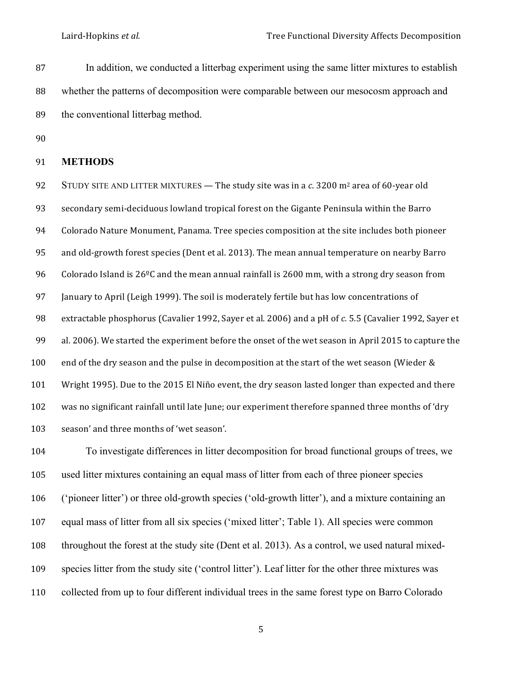87 In addition, we conducted a litterbag experiment using the same litter mixtures to establish 88 whether the patterns of decomposition were comparable between our mesocosm approach and 89 the conventional litterbag method.

90

# 91 **METHODS**

92 STUDY SITE AND LITTER MIXTURES — The study site was in a c. 3200 m<sup>2</sup> area of 60-year old 93 secondary semi-deciduous lowland tropical forest on the Gigante Peninsula within the Barro 94 Colorado Nature Monument, Panama. Tree species composition at the site includes both pioneer 95 and old-growth forest species (Dent et al. 2013). The mean annual temperature on nearby Barro 96 Colorado Island is  $26^{\circ}$ C and the mean annual rainfall is 2600 mm, with a strong dry season from 97 January to April (Leigh 1999). The soil is moderately fertile but has low concentrations of 98 extractable phosphorus (Cavalier 1992, Sayer et al. 2006) and a pH of *c.* 5.5 (Cavalier 1992, Sayer et 99 al. 2006). We started the experiment before the onset of the wet season in April 2015 to capture the 100 end of the dry season and the pulse in decomposition at the start of the wet season (Wieder & 101 Wright 1995). Due to the 2015 El Niño event, the dry season lasted longer than expected and there 102 was no significant rainfall until late June; our experiment therefore spanned three months of 'dry 103 season' and three months of 'wet season'.

 To investigate differences in litter decomposition for broad functional groups of trees, we used litter mixtures containing an equal mass of litter from each of three pioneer species ('pioneer litter') or three old-growth species ('old-growth litter'), and a mixture containing an equal mass of litter from all six species ('mixed litter'; Table 1). All species were common throughout the forest at the study site (Dent et al. 2013). As a control, we used natural mixed- species litter from the study site ('control litter'). Leaf litter for the other three mixtures was collected from up to four different individual trees in the same forest type on Barro Colorado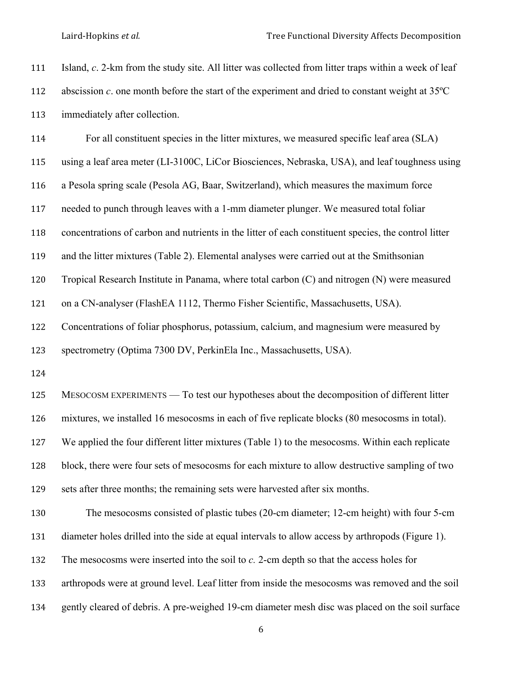| 111 | Island, c. 2-km from the study site. All litter was collected from litter traps within a week of leaf        |
|-----|--------------------------------------------------------------------------------------------------------------|
| 112 | abscission $c$ . one month before the start of the experiment and dried to constant weight at $35^{\circ}$ C |
| 113 | immediately after collection.                                                                                |
| 114 | For all constituent species in the litter mixtures, we measured specific leaf area (SLA)                     |
| 115 | using a leaf area meter (LI-3100C, LiCor Biosciences, Nebraska, USA), and leaf toughness using               |
| 116 | a Pesola spring scale (Pesola AG, Baar, Switzerland), which measures the maximum force                       |
| 117 | needed to punch through leaves with a 1-mm diameter plunger. We measured total foliar                        |
| 118 | concentrations of carbon and nutrients in the litter of each constituent species, the control litter         |
| 119 | and the litter mixtures (Table 2). Elemental analyses were carried out at the Smithsonian                    |
| 120 | Tropical Research Institute in Panama, where total carbon (C) and nitrogen (N) were measured                 |
| 121 | on a CN-analyser (FlashEA 1112, Thermo Fisher Scientific, Massachusetts, USA).                               |
| 122 | Concentrations of foliar phosphorus, potassium, calcium, and magnesium were measured by                      |
| 123 | spectrometry (Optima 7300 DV, PerkinEla Inc., Massachusetts, USA).                                           |
| 124 |                                                                                                              |
| 125 | MESOCOSM EXPERIMENTS — To test our hypotheses about the decomposition of different litter                    |
| 126 | mixtures, we installed 16 mesocosms in each of five replicate blocks (80 mesocosms in total).                |
| 127 | We applied the four different litter mixtures (Table 1) to the mesocosms. Within each replicate              |
| 128 | block, there were four sets of mesocosms for each mixture to allow destructive sampling of two               |
| 129 | sets after three months; the remaining sets were harvested after six months.                                 |
| 130 | The mesocosms consisted of plastic tubes (20-cm diameter; 12-cm height) with four 5-cm                       |
| 131 | diameter holes drilled into the side at equal intervals to allow access by arthropods (Figure 1).            |
| 132 | The mesocosms were inserted into the soil to $c$ . 2-cm depth so that the access holes for                   |
| 133 | arthropods were at ground level. Leaf litter from inside the mesocosms was removed and the soil              |
| 134 | gently cleared of debris. A pre-weighed 19-cm diameter mesh disc was placed on the soil surface              |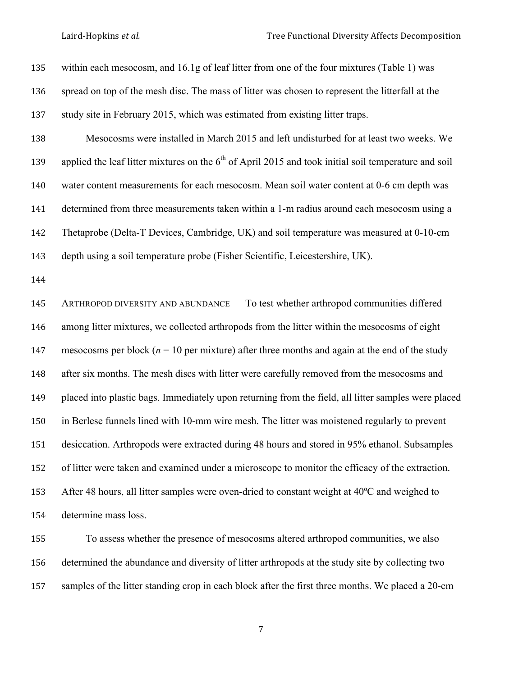within each mesocosm, and 16.1g of leaf litter from one of the four mixtures (Table 1) was spread on top of the mesh disc. The mass of litter was chosen to represent the litterfall at the study site in February 2015, which was estimated from existing litter traps. Mesocosms were installed in March 2015 and left undisturbed for at least two weeks. We 139 applied the leaf litter mixtures on the  $6<sup>th</sup>$  of April 2015 and took initial soil temperature and soil water content measurements for each mesocosm. Mean soil water content at 0-6 cm depth was 141 determined from three measurements taken within a 1-m radius around each mesocosm using a Thetaprobe (Delta-T Devices, Cambridge, UK) and soil temperature was measured at 0-10-cm depth using a soil temperature probe (Fisher Scientific, Leicestershire, UK). ARTHROPOD DIVERSITY AND ABUNDANCE — To test whether arthropod communities differed among litter mixtures, we collected arthropods from the litter within the mesocosms of eight 147 mesocosms per block ( $n = 10$  per mixture) after three months and again at the end of the study 148 after six months. The mesh discs with litter were carefully removed from the mesocosms and placed into plastic bags. Immediately upon returning from the field, all litter samples were placed in Berlese funnels lined with 10-mm wire mesh. The litter was moistened regularly to prevent desiccation. Arthropods were extracted during 48 hours and stored in 95% ethanol. Subsamples of litter were taken and examined under a microscope to monitor the efficacy of the extraction. After 48 hours, all litter samples were oven-dried to constant weight at 40ºC and weighed to determine mass loss.

 To assess whether the presence of mesocosms altered arthropod communities, we also determined the abundance and diversity of litter arthropods at the study site by collecting two samples of the litter standing crop in each block after the first three months. We placed a 20-cm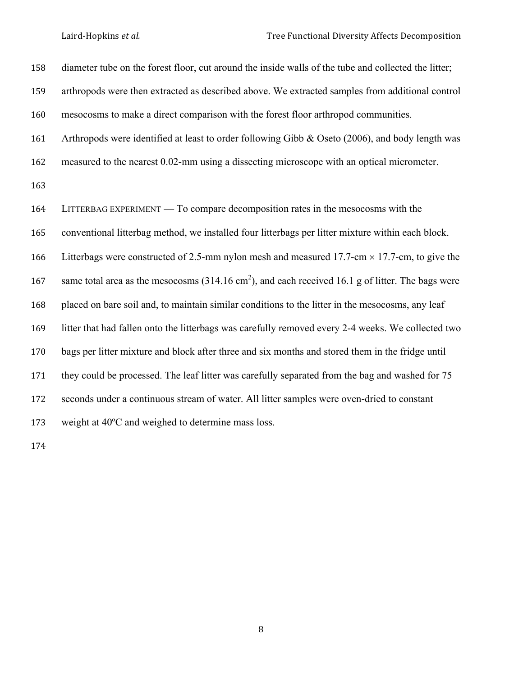| 158 | diameter tube on the forest floor, cut around the inside walls of the tube and collected the litter;         |
|-----|--------------------------------------------------------------------------------------------------------------|
| 159 | arthropods were then extracted as described above. We extracted samples from additional control              |
| 160 | mesocosms to make a direct comparison with the forest floor arthropod communities.                           |
| 161 | Arthropods were identified at least to order following Gibb & Oseto (2006), and body length was              |
| 162 | measured to the nearest 0.02-mm using a dissecting microscope with an optical micrometer.                    |
| 163 |                                                                                                              |
| 164 | LITTERBAG EXPERIMENT — To compare decomposition rates in the mesocosms with the                              |
| 165 | conventional litterbag method, we installed four litterbags per litter mixture within each block.            |
| 166 | Litterbags were constructed of 2.5-mm nylon mesh and measured 17.7-cm $\times$ 17.7-cm, to give the          |
| 167 | same total area as the mesocosms $(314.16 \text{ cm}^2)$ , and each received 16.1 g of litter. The bags were |
| 168 | placed on bare soil and, to maintain similar conditions to the litter in the mesocosms, any leaf             |
| 169 | litter that had fallen onto the litterbags was carefully removed every 2-4 weeks. We collected two           |
| 170 | bags per litter mixture and block after three and six months and stored them in the fridge until             |
| 171 | they could be processed. The leaf litter was carefully separated from the bag and washed for 75              |
| 172 | seconds under a continuous stream of water. All litter samples were oven-dried to constant                   |
| 173 | weight at 40°C and weighed to determine mass loss.                                                           |
|     |                                                                                                              |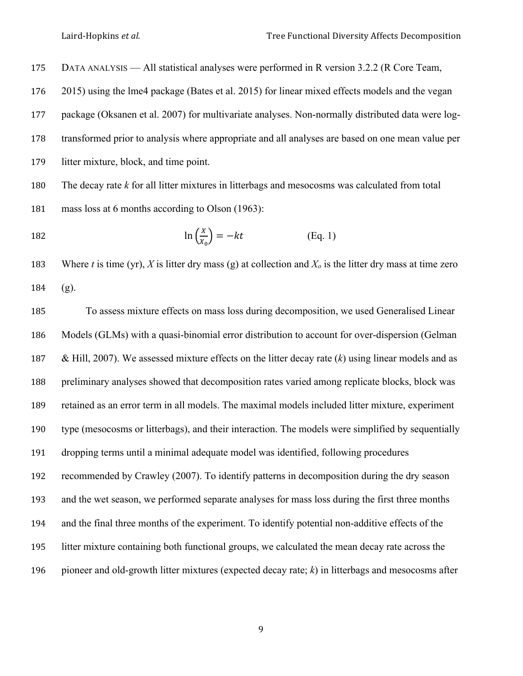Laird-Hopkins *et al.* Tree Functional Diversity Affects Decomposition

DATA ANALYSIS — All statistical analyses were performed in R version 3.2.2 (R Core Team,

2015) using the lme4 package (Bates et al. 2015) for linear mixed effects models and the vegan

package (Oksanen et al. 2007) for multivariate analyses. Non-normally distributed data were log-

transformed prior to analysis where appropriate and all analyses are based on one mean value per

litter mixture, block, and time point.

 The decay rate *k* for all litter mixtures in litterbags and mesocosms was calculated from total mass loss at 6 months according to Olson (1963):

182 
$$
\ln\left(\frac{x}{x_0}\right) = -kt
$$
 (Eq. 1)

183 Where *t* is time (yr), *X* is litter dry mass (g) at collection and  $X_0$  is the litter dry mass at time zero (g).

 To assess mixture effects on mass loss during decomposition, we used Generalised Linear Models (GLMs) with a quasi-binomial error distribution to account for over-dispersion (Gelman & Hill, 2007). We assessed mixture effects on the litter decay rate (*k*) using linear models and as preliminary analyses showed that decomposition rates varied among replicate blocks, block was retained as an error term in all models. The maximal models included litter mixture, experiment type (mesocosms or litterbags), and their interaction. The models were simplified by sequentially dropping terms until a minimal adequate model was identified, following procedures recommended by Crawley (2007). To identify patterns in decomposition during the dry season and the wet season, we performed separate analyses for mass loss during the first three months and the final three months of the experiment. To identify potential non-additive effects of the litter mixture containing both functional groups, we calculated the mean decay rate across the pioneer and old-growth litter mixtures (expected decay rate; *k*) in litterbags and mesocosms after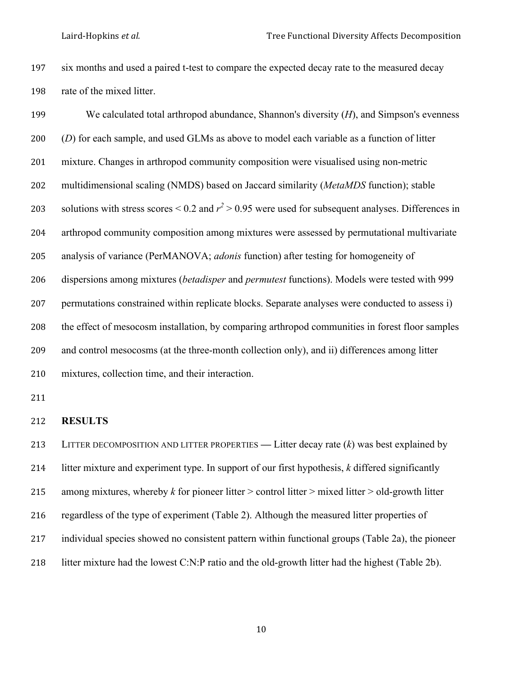six months and used a paired t-test to compare the expected decay rate to the measured decay rate of the mixed litter.

| 199 | We calculated total arthropod abundance, Shannon's diversity $(H)$ , and Simpson's evenness                |
|-----|------------------------------------------------------------------------------------------------------------|
| 200 | (D) for each sample, and used GLMs as above to model each variable as a function of litter                 |
| 201 | mixture. Changes in arthropod community composition were visualised using non-metric                       |
| 202 | multidimensional scaling (NMDS) based on Jaccard similarity (MetaMDS function); stable                     |
| 203 | solutions with stress scores $\leq 0.2$ and $r^2 > 0.95$ were used for subsequent analyses. Differences in |
| 204 | arthropod community composition among mixtures were assessed by permutational multivariate                 |
| 205 | analysis of variance (PerMANOVA; <i>adonis</i> function) after testing for homogeneity of                  |
| 206 | dispersions among mixtures <i>(betadisper and permutest functions)</i> . Models were tested with 999       |
| 207 | permutations constrained within replicate blocks. Separate analyses were conducted to assess i)            |
| 208 | the effect of mesocosm installation, by comparing arthropod communities in forest floor samples            |
| 209 | and control mesocosms (at the three-month collection only), and ii) differences among litter               |
| 210 | mixtures, collection time, and their interaction.                                                          |

# **RESULTS**

 LITTER DECOMPOSITION AND LITTER PROPERTIES *—* Litter decay rate (*k*) was best explained by litter mixture and experiment type. In support of our first hypothesis, *k* differed significantly among mixtures, whereby *k* for pioneer litter > control litter > mixed litter > old-growth litter regardless of the type of experiment (Table 2). Although the measured litter properties of individual species showed no consistent pattern within functional groups (Table 2a), the pioneer litter mixture had the lowest C:N:P ratio and the old-growth litter had the highest (Table 2b).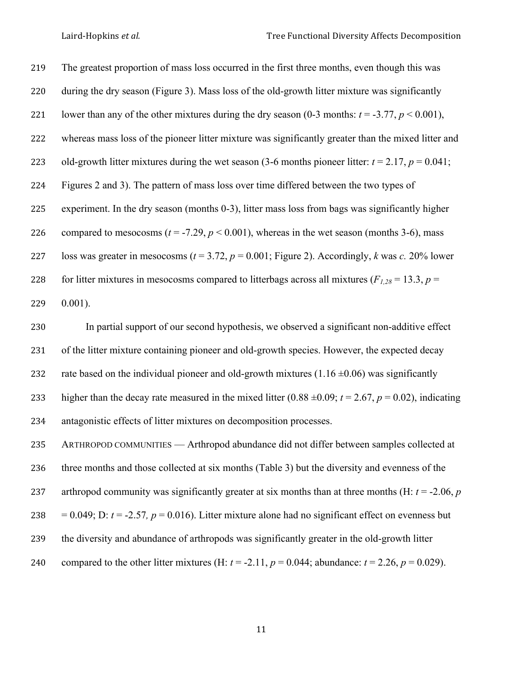The greatest proportion of mass loss occurred in the first three months, even though this was during the dry season (Figure 3). Mass loss of the old-growth litter mixture was significantly 221 lower than any of the other mixtures during the dry season  $(0-3 \text{ months: } t = -3.77, p < 0.001)$ , whereas mass loss of the pioneer litter mixture was significantly greater than the mixed litter and 223 old-growth litter mixtures during the wet season (3-6 months pioneer litter:  $t = 2.17$ ,  $p = 0.041$ ; Figures 2 and 3). The pattern of mass loss over time differed between the two types of experiment. In the dry season (months 0-3), litter mass loss from bags was significantly higher 226 compared to mesocosms  $(t = -7.29, p < 0.001)$ , whereas in the wet season (months 3-6), mass loss was greater in mesocosms (*t* = 3.72, *p* = 0.001; Figure 2). Accordingly, *k* was *c.* 20% lower 228 for litter mixtures in mesocosms compared to litterbags across all mixtures ( $F_{1,28}$  = 13.3, *p* =

0.001).

 In partial support of our second hypothesis, we observed a significant non-additive effect of the litter mixture containing pioneer and old-growth species. However, the expected decay 232 rate based on the individual pioneer and old-growth mixtures  $(1.16 \pm 0.06)$  was significantly 233 higher than the decay rate measured in the mixed litter  $(0.88 \pm 0.09; t = 2.67, p = 0.02)$ , indicating antagonistic effects of litter mixtures on decomposition processes.

 ARTHROPOD COMMUNITIES — Arthropod abundance did not differ between samples collected at three months and those collected at six months (Table 3) but the diversity and evenness of the arthropod community was significantly greater at six months than at three months (H: *t* = -2.06, *p* 238 =  $0.049$ ; D:  $t = -2.57$ ,  $p = 0.016$ ). Litter mixture alone had no significant effect on evenness but the diversity and abundance of arthropods was significantly greater in the old-growth litter 240 compared to the other litter mixtures (H:  $t = -2.11$ ,  $p = 0.044$ ; abundance:  $t = 2.26$ ,  $p = 0.029$ ).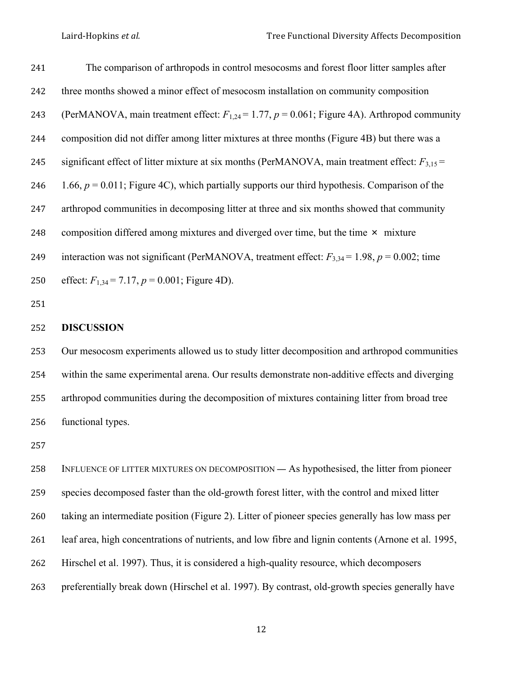The comparison of arthropods in control mesocosms and forest floor litter samples after three months showed a minor effect of mesocosm installation on community composition 243 (PerMANOVA, main treatment effect:  $F_{1,24} = 1.77$ ,  $p = 0.061$ ; Figure 4A). Arthropod community composition did not differ among litter mixtures at three months (Figure 4B) but there was a 245 significant effect of litter mixture at six months (PerMANOVA, main treatment effect:  $F_{3,15}$  = 246 1.66,  $p = 0.011$ ; Figure 4C), which partially supports our third hypothesis. Comparison of the arthropod communities in decomposing litter at three and six months showed that community 248 composition differed among mixtures and diverged over time, but the time  $\times$  mixture 249 interaction was not significant (PerMANOVA, treatment effect:  $F_{3,34} = 1.98$ ,  $p = 0.002$ ; time 250 effect:  $F_{1,34} = 7.17$ ,  $p = 0.001$ ; Figure 4D).

#### **DISCUSSION**

 Our mesocosm experiments allowed us to study litter decomposition and arthropod communities within the same experimental arena. Our results demonstrate non-additive effects and diverging arthropod communities during the decomposition of mixtures containing litter from broad tree functional types.

 INFLUENCE OF LITTER MIXTURES ON DECOMPOSITION — As hypothesised, the litter from pioneer species decomposed faster than the old-growth forest litter, with the control and mixed litter taking an intermediate position (Figure 2). Litter of pioneer species generally has low mass per leaf area, high concentrations of nutrients, and low fibre and lignin contents (Arnone et al. 1995, Hirschel et al. 1997). Thus, it is considered a high-quality resource, which decomposers preferentially break down (Hirschel et al. 1997). By contrast, old-growth species generally have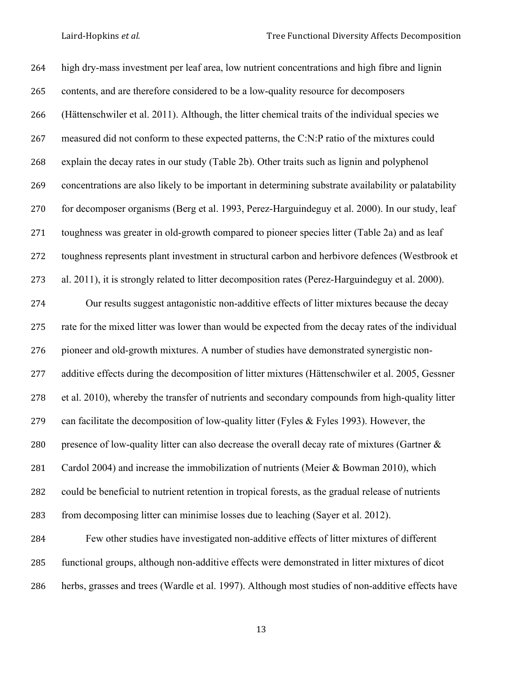high dry-mass investment per leaf area, low nutrient concentrations and high fibre and lignin contents, and are therefore considered to be a low-quality resource for decomposers (Hättenschwiler et al. 2011). Although, the litter chemical traits of the individual species we measured did not conform to these expected patterns, the C:N:P ratio of the mixtures could explain the decay rates in our study (Table 2b). Other traits such as lignin and polyphenol concentrations are also likely to be important in determining substrate availability or palatability for decomposer organisms (Berg et al. 1993, Perez-Harguindeguy et al. 2000). In our study, leaf toughness was greater in old-growth compared to pioneer species litter (Table 2a) and as leaf toughness represents plant investment in structural carbon and herbivore defences (Westbrook et al. 2011), it is strongly related to litter decomposition rates (Perez-Harguindeguy et al. 2000). Our results suggest antagonistic non-additive effects of litter mixtures because the decay rate for the mixed litter was lower than would be expected from the decay rates of the individual pioneer and old-growth mixtures. A number of studies have demonstrated synergistic non- additive effects during the decomposition of litter mixtures (Hättenschwiler et al. 2005, Gessner et al. 2010), whereby the transfer of nutrients and secondary compounds from high-quality litter can facilitate the decomposition of low-quality litter (Fyles & Fyles 1993). However, the 280 presence of low-quality litter can also decrease the overall decay rate of mixtures (Gartner & Cardol 2004) and increase the immobilization of nutrients (Meier & Bowman 2010), which could be beneficial to nutrient retention in tropical forests, as the gradual release of nutrients from decomposing litter can minimise losses due to leaching (Sayer et al. 2012). Few other studies have investigated non-additive effects of litter mixtures of different functional groups, although non-additive effects were demonstrated in litter mixtures of dicot

herbs, grasses and trees (Wardle et al. 1997). Although most studies of non-additive effects have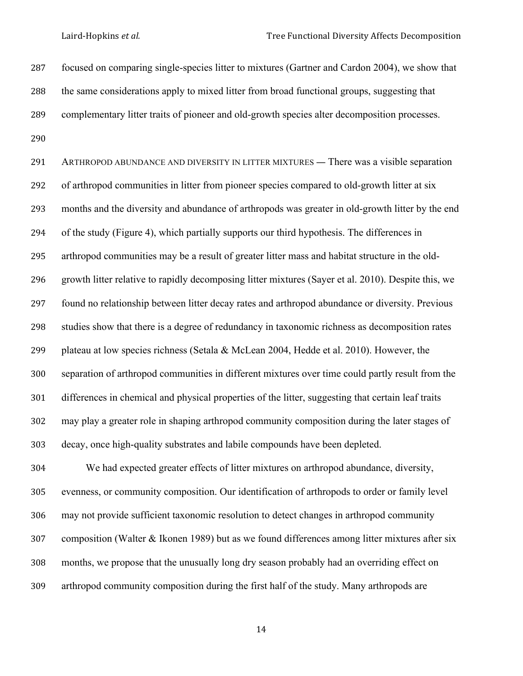Laird-Hopkins *et al.* Tree Functional Diversity Affects Decomposition

 focused on comparing single-species litter to mixtures (Gartner and Cardon 2004), we show that the same considerations apply to mixed litter from broad functional groups, suggesting that complementary litter traits of pioneer and old-growth species alter decomposition processes. 

 ARTHROPOD ABUNDANCE AND DIVERSITY IN LITTER MIXTURES — There was a visible separation of arthropod communities in litter from pioneer species compared to old-growth litter at six months and the diversity and abundance of arthropods was greater in old-growth litter by the end of the study (Figure 4), which partially supports our third hypothesis. The differences in arthropod communities may be a result of greater litter mass and habitat structure in the old- growth litter relative to rapidly decomposing litter mixtures (Sayer et al. 2010). Despite this, we found no relationship between litter decay rates and arthropod abundance or diversity. Previous studies show that there is a degree of redundancy in taxonomic richness as decomposition rates plateau at low species richness (Setala & McLean 2004, Hedde et al. 2010). However, the separation of arthropod communities in different mixtures over time could partly result from the differences in chemical and physical properties of the litter, suggesting that certain leaf traits may play a greater role in shaping arthropod community composition during the later stages of decay, once high-quality substrates and labile compounds have been depleted.

 We had expected greater effects of litter mixtures on arthropod abundance, diversity, evenness, or community composition. Our identification of arthropods to order or family level may not provide sufficient taxonomic resolution to detect changes in arthropod community composition (Walter & Ikonen 1989) but as we found differences among litter mixtures after six months, we propose that the unusually long dry season probably had an overriding effect on arthropod community composition during the first half of the study. Many arthropods are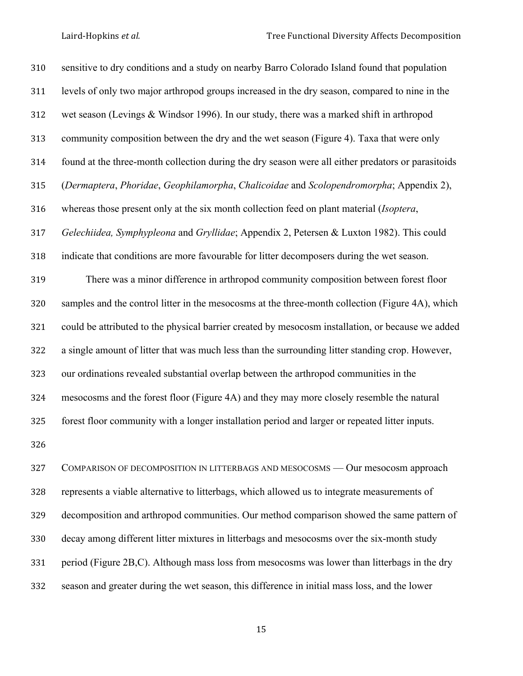| 310 | sensitive to dry conditions and a study on nearby Barro Colorado Island found that population      |
|-----|----------------------------------------------------------------------------------------------------|
| 311 | levels of only two major arthropod groups increased in the dry season, compared to nine in the     |
| 312 | wet season (Levings & Windsor 1996). In our study, there was a marked shift in arthropod           |
| 313 | community composition between the dry and the wet season (Figure 4). Taxa that were only           |
| 314 | found at the three-month collection during the dry season were all either predators or parasitoids |
| 315 | (Dermaptera, Phoridae, Geophilamorpha, Chalicoidae and Scolopendromorpha; Appendix 2),             |
| 316 | whereas those present only at the six month collection feed on plant material (Isoptera,           |
| 317 | Gelechiidea, Symphypleona and Gryllidae; Appendix 2, Petersen & Luxton 1982). This could           |
| 318 | indicate that conditions are more favourable for litter decomposers during the wet season.         |
| 319 | There was a minor difference in arthropod community composition between forest floor               |
| 320 | samples and the control litter in the mesocosms at the three-month collection (Figure 4A), which   |
| 321 | could be attributed to the physical barrier created by mesocosm installation, or because we added  |
| 322 | a single amount of litter that was much less than the surrounding litter standing crop. However,   |
| 323 | our ordinations revealed substantial overlap between the arthropod communities in the              |
| 324 | mesocosms and the forest floor (Figure 4A) and they may more closely resemble the natural          |
| 325 | forest floor community with a longer installation period and larger or repeated litter inputs.     |
| 326 |                                                                                                    |
| 327 | COMPARISON OF DECOMPOSITION IN LITTERBAGS AND MESOCOSMS - Our mesocosm approach                    |
| 328 | represents a viable alternative to litterbags, which allowed us to integrate measurements of       |
| 329 | decomposition and arthropod communities. Our method comparison showed the same pattern of          |
| 330 | decay among different litter mixtures in litterbags and mesocosms over the six-month study         |
|     |                                                                                                    |

period (Figure 2B,C). Although mass loss from mesocosms was lower than litterbags in the dry

season and greater during the wet season, this difference in initial mass loss, and the lower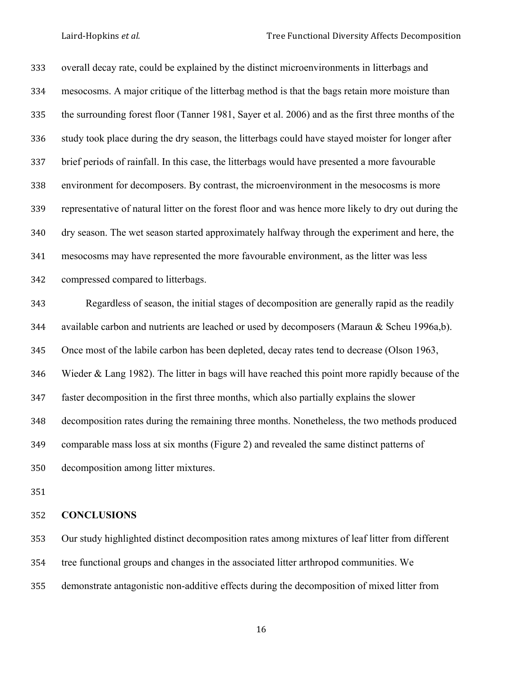overall decay rate, could be explained by the distinct microenvironments in litterbags and mesocosms. A major critique of the litterbag method is that the bags retain more moisture than the surrounding forest floor (Tanner 1981, Sayer et al. 2006) and as the first three months of the study took place during the dry season, the litterbags could have stayed moister for longer after brief periods of rainfall. In this case, the litterbags would have presented a more favourable environment for decomposers. By contrast, the microenvironment in the mesocosms is more representative of natural litter on the forest floor and was hence more likely to dry out during the dry season. The wet season started approximately halfway through the experiment and here, the mesocosms may have represented the more favourable environment, as the litter was less compressed compared to litterbags.

 Regardless of season, the initial stages of decomposition are generally rapid as the readily available carbon and nutrients are leached or used by decomposers (Maraun & Scheu 1996a,b). Once most of the labile carbon has been depleted, decay rates tend to decrease (Olson 1963, Wieder & Lang 1982). The litter in bags will have reached this point more rapidly because of the faster decomposition in the first three months, which also partially explains the slower decomposition rates during the remaining three months. Nonetheless, the two methods produced comparable mass loss at six months (Figure 2) and revealed the same distinct patterns of decomposition among litter mixtures.

#### **CONCLUSIONS**

 Our study highlighted distinct decomposition rates among mixtures of leaf litter from different tree functional groups and changes in the associated litter arthropod communities. We demonstrate antagonistic non-additive effects during the decomposition of mixed litter from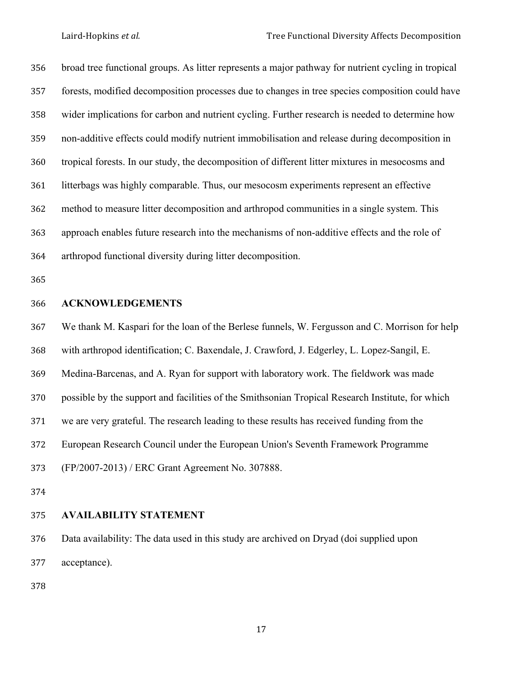broad tree functional groups. As litter represents a major pathway for nutrient cycling in tropical forests, modified decomposition processes due to changes in tree species composition could have wider implications for carbon and nutrient cycling. Further research is needed to determine how non-additive effects could modify nutrient immobilisation and release during decomposition in tropical forests. In our study, the decomposition of different litter mixtures in mesocosms and litterbags was highly comparable. Thus, our mesocosm experiments represent an effective method to measure litter decomposition and arthropod communities in a single system. This approach enables future research into the mechanisms of non-additive effects and the role of arthropod functional diversity during litter decomposition.

#### **ACKNOWLEDGEMENTS**

 We thank M. Kaspari for the loan of the Berlese funnels, W. Fergusson and C. Morrison for help with arthropod identification; C. Baxendale, J. Crawford, J. Edgerley, L. Lopez-Sangil, E. Medina-Barcenas, and A. Ryan for support with laboratory work. The fieldwork was made possible by the support and facilities of the Smithsonian Tropical Research Institute, for which

we are very grateful. The research leading to these results has received funding from the

European Research Council under the European Union's Seventh Framework Programme

(FP/2007-2013) / ERC Grant Agreement No. 307888.

# **AVAILABILITY STATEMENT**

 Data availability: The data used in this study are archived on Dryad (doi supplied upon acceptance).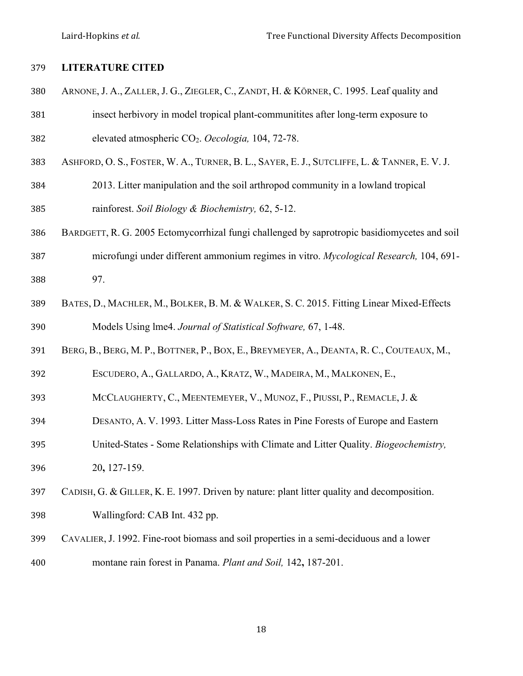Laird-Hopkins *et al.* Tree Functional Diversity Affects Decomposition

# **LITERATURE CITED**

- ARNONE, J. A., ZALLER, J. G., ZIEGLER, C., ZANDT, H. & KÖRNER, C. 1995. Leaf quality and
- insect herbivory in model tropical plant-communitites after long-term exposure to elevated atmospheric CO2. *Oecologia,* 104, 72-78.
- ASHFORD, O. S., FOSTER, W. A., TURNER, B. L., SAYER, E. J., SUTCLIFFE, L. & TANNER, E. V. J.
- 2013. Litter manipulation and the soil arthropod community in a lowland tropical rainforest. *Soil Biology & Biochemistry,* 62, 5-12.
- BARDGETT, R. G. 2005 Ectomycorrhizal fungi challenged by saprotropic basidiomycetes and soil
- microfungi under different ammonium regimes in vitro. *Mycological Research,* 104, 691- 97.
- BATES, D., MACHLER, M., BOLKER, B. M. & WALKER, S. C. 2015. Fitting Linear Mixed-Effects Models Using lme4. *Journal of Statistical Software,* 67, 1-48.
- BERG, B., BERG, M. P., BOTTNER, P., BOX, E., BREYMEYER, A., DEANTA, R. C., COUTEAUX, M.,
- ESCUDERO, A., GALLARDO, A., KRATZ, W., MADEIRA, M., MALKONEN, E.,
- MCCLAUGHERTY, C., MEENTEMEYER, V., MUNOZ, F., PIUSSI, P., REMACLE, J. &
- DESANTO, A. V. 1993. Litter Mass-Loss Rates in Pine Forests of Europe and Eastern
- United-States Some Relationships with Climate and Litter Quality. *Biogeochemistry,*
- 20**,** 127-159.
- CADISH, G. & GILLER, K. E. 1997. Driven by nature: plant litter quality and decomposition.
- Wallingford: CAB Int. 432 pp.
- CAVALIER, J. 1992. Fine-root biomass and soil properties in a semi-deciduous and a lower montane rain forest in Panama. *Plant and Soil,* 142**,** 187-201.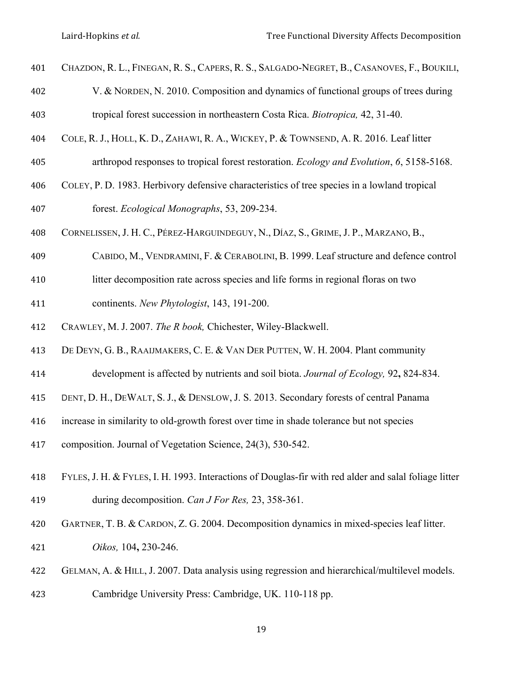- CHAZDON, R. L., FINEGAN, R. S., CAPERS, R. S., SALGADO-NEGRET, B., CASANOVES, F., BOUKILI,
- V. & NORDEN, N. 2010. Composition and dynamics of functional groups of trees during tropical forest succession in northeastern Costa Rica. *Biotropica,* 42, 31-40.
- COLE, R. J., HOLL, K. D., ZAHAWI, R. A., WICKEY, P. & TOWNSEND, A. R. 2016. Leaf litter
- arthropod responses to tropical forest restoration. *Ecology and Evolution*, *6*, 5158-5168.
- COLEY, P. D. 1983. Herbivory defensive characteristics of tree species in a lowland tropical
- forest. *Ecological Monographs*, 53, 209-234.
- CORNELISSEN, J. H. C., PÉREZ-HARGUINDEGUY, N., DÍAZ, S., GRIME, J. P., MARZANO, B.,
- CABIDO, M., VENDRAMINI, F. & CERABOLINI, B. 1999. Leaf structure and defence control
- litter decomposition rate across species and life forms in regional floras on two
- continents. *New Phytologist*, 143, 191-200.
- CRAWLEY, M. J. 2007. *The R book,* Chichester, Wiley-Blackwell.
- DE DEYN, G. B., RAAIJMAKERS, C. E. & VAN DER PUTTEN, W. H. 2004. Plant community
- development is affected by nutrients and soil biota. *Journal of Ecology,* 92**,** 824-834.
- DENT, D. H., DEWALT, S. J., & DENSLOW, J. S. 2013. Secondary forests of central Panama
- increase in similarity to old-growth forest over time in shade tolerance but not species
- composition. Journal of Vegetation Science, 24(3), 530-542.
- FYLES, J. H. & FYLES, I. H. 1993. Interactions of Douglas-fir with red alder and salal foliage litter during decomposition. *Can J For Res,* 23, 358-361.
- GARTNER, T. B. & CARDON, Z. G. 2004. Decomposition dynamics in mixed-species leaf litter.
- *Oikos,* 104**,** 230-246.
- GELMAN, A. & HILL, J. 2007. Data analysis using regression and hierarchical/multilevel models.
- Cambridge University Press: Cambridge, UK. 110-118 pp.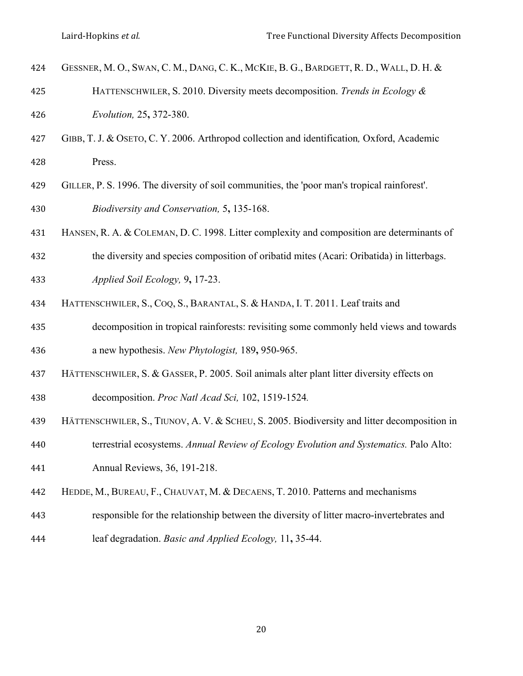- GESSNER, M. O., SWAN, C. M., DANG, C. K., MCKIE, B. G., BARDGETT, R. D., WALL, D. H. &
- HATTENSCHWILER, S. 2010. Diversity meets decomposition. *Trends in Ecology & Evolution,* 25**,** 372-380.
- GIBB, T. J. & OSETO, C. Y. 2006. Arthropod collection and identification*,* Oxford, Academic Press.
- GILLER, P. S. 1996. The diversity of soil communities, the 'poor man's tropical rainforest'. *Biodiversity and Conservation,* 5**,** 135-168.
- HANSEN, R. A. & COLEMAN, D. C. 1998. Litter complexity and composition are determinants of
- the diversity and species composition of oribatid mites (Acari: Oribatida) in litterbags.
- *Applied Soil Ecology,* 9**,** 17-23.
- HATTENSCHWILER, S., COQ, S., BARANTAL, S. & HANDA, I. T. 2011. Leaf traits and
- decomposition in tropical rainforests: revisiting some commonly held views and towards a new hypothesis. *New Phytologist,* 189**,** 950-965.
- HÄTTENSCHWILER, S. & GASSER, P. 2005. Soil animals alter plant litter diversity effects on
- decomposition. *Proc Natl Acad Sci,* 102, 1519-1524*.*
- HÄTTENSCHWILER, S., TIUNOV, A. V. & SCHEU, S. 2005. Biodiversity and litter decomposition in
- terrestrial ecosystems. *Annual Review of Ecology Evolution and Systematics.* Palo Alto:
- Annual Reviews, 36, 191-218.
- HEDDE, M., BUREAU, F., CHAUVAT, M. & DECAENS, T. 2010. Patterns and mechanisms
- responsible for the relationship between the diversity of litter macro-invertebrates and
- leaf degradation. *Basic and Applied Ecology,* 11**,** 35-44.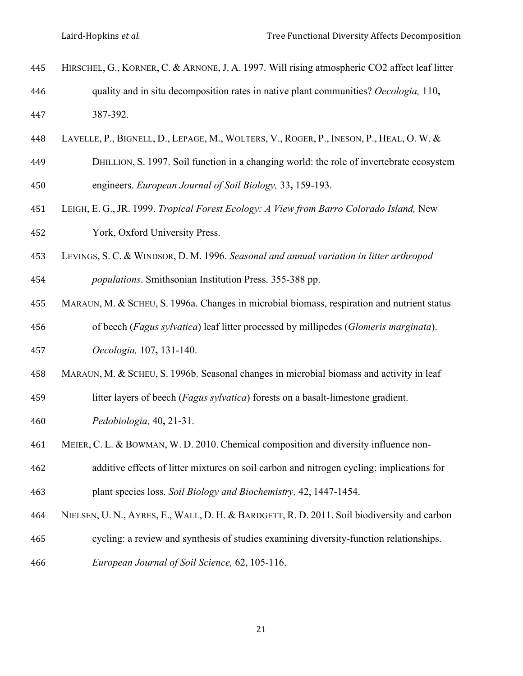- HIRSCHEL, G., KORNER, C. & ARNONE, J. A. 1997. Will rising atmospheric CO2 affect leaf litter quality and in situ decomposition rates in native plant communities? *Oecologia,* 110**,** 387-392.
- LAVELLE, P., BIGNELL, D., LEPAGE, M., WOLTERS, V., ROGER, P., INESON, P., HEAL, O. W. &
- DHILLION, S. 1997. Soil function in a changing world: the role of invertebrate ecosystem engineers. *European Journal of Soil Biology,* 33**,** 159-193.
- LEIGH, E. G., JR. 1999. *Tropical Forest Ecology: A View from Barro Colorado Island,* New York, Oxford University Press.
- LEVINGS, S. C. & WINDSOR, D. M. 1996. *Seasonal and annual variation in litter arthropod*
- *populations*. Smithsonian Institution Press. 355-388 pp.
- MARAUN, M. & SCHEU, S. 1996a. Changes in microbial biomass, respiration and nutrient status of beech (*Fagus sylvatica*) leaf litter processed by millipedes (*Glomeris marginata*).
- *Oecologia,* 107**,** 131-140.
- MARAUN, M. & SCHEU, S. 1996b. Seasonal changes in microbial biomass and activity in leaf
- litter layers of beech (*Fagus sylvatica*) forests on a basalt-limestone gradient.
- *Pedobiologia,* 40**,** 21-31.
- MEIER, C. L. & BOWMAN, W. D. 2010. Chemical composition and diversity influence non-
- additive effects of litter mixtures on soil carbon and nitrogen cycling: implications for plant species loss. *Soil Biology and Biochemistry,* 42, 1447-1454.
- NIELSEN, U. N., AYRES, E., WALL, D. H. & BARDGETT, R. D. 2011. Soil biodiversity and carbon
- cycling: a review and synthesis of studies examining diversity-function relationships.
- *European Journal of Soil Science,* 62, 105-116.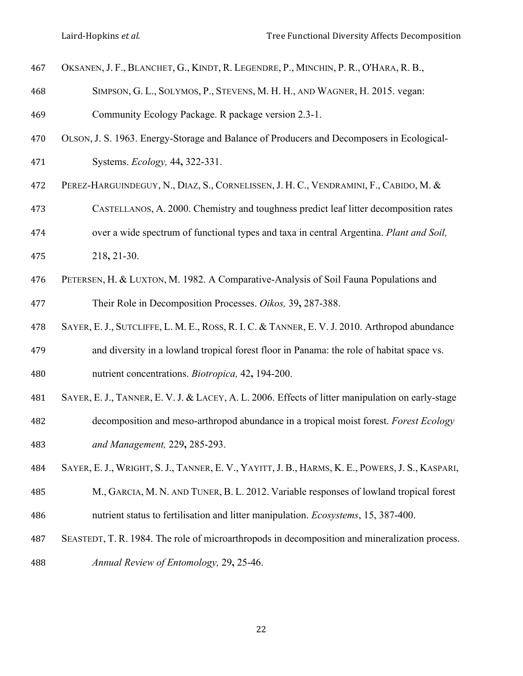- OKSANEN, J. F., BLANCHET, G., KINDT, R. LEGENDRE, P., MINCHIN, P. R., O'HARA, R. B., SIMPSON, G. L., SOLYMOS, P., STEVENS, M. H. H., AND WAGNER, H. 2015. vegan: Community Ecology Package. R package version 2.3-1. OLSON, J. S. 1963. Energy-Storage and Balance of Producers and Decomposers in Ecological- Systems. *Ecology,* 44**,** 322-331. PEREZ-HARGUINDEGUY, N., DIAZ, S., CORNELISSEN, J. H. C., VENDRAMINI, F., CABIDO, M. & CASTELLANOS, A. 2000. Chemistry and toughness predict leaf litter decomposition rates over a wide spectrum of functional types and taxa in central Argentina. *Plant and Soil,* 218**,** 21-30. PETERSEN, H. & LUXTON, M. 1982. A Comparative-Analysis of Soil Fauna Populations and Their Role in Decomposition Processes. *Oikos,* 39**,** 287-388. SAYER, E. J., SUTCLIFFE, L. M. E., ROSS, R. I. C. & TANNER, E. V. J. 2010. Arthropod abundance and diversity in a lowland tropical forest floor in Panama: the role of habitat space vs. nutrient concentrations. *Biotropica,* 42**,** 194-200. SAYER, E. J., TANNER, E. V. J. & LACEY, A. L. 2006. Effects of litter manipulation on early-stage decomposition and meso-arthropod abundance in a tropical moist forest. *Forest Ecology and Management,* 229**,** 285-293. SAYER, E. J., WRIGHT, S. J., TANNER, E. V., YAYITT, J. B., HARMS, K. E., POWERS, J. S., KASPARI, M., GARCIA, M. N. AND TUNER, B. L. 2012. Variable responses of lowland tropical forest nutrient status to fertilisation and litter manipulation. *Ecosystems*, 15, 387-400. SEASTEDT, T. R. 1984. The role of microarthropods in decomposition and mineralization process.
- *Annual Review of Entomology,* 29**,** 25-46.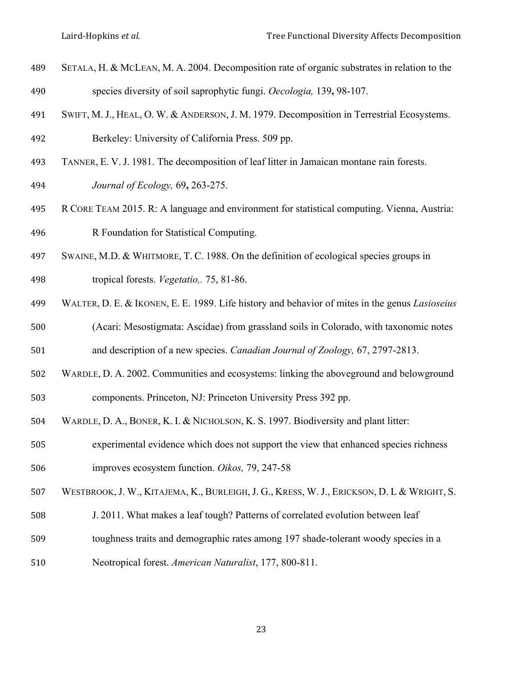- SETALA, H. & MCLEAN, M. A. 2004. Decomposition rate of organic substrates in relation to the species diversity of soil saprophytic fungi. *Oecologia,* 139**,** 98-107.
- SWIFT, M. J., HEAL, O. W. & ANDERSON, J. M. 1979. Decomposition in Terrestrial Ecosystems.
- Berkeley: University of California Press. 509 pp.
- TANNER, E. V. J. 1981. The decomposition of leaf litter in Jamaican montane rain forests.
- *Journal of Ecology,* 69**,** 263-275.
- R CORE TEAM 2015. R: A language and environment for statistical computing. Vienna, Austria: R Foundation for Statistical Computing.
- SWAINE, M.D. & WHITMORE, T. C. 1988. On the definition of ecological species groups in tropical forests. *Vegetatio,.* 75, 81-86.
- 
- WALTER, D. E. & IKONEN, E. E. 1989. Life history and behavior of mites in the genus *Lasioseius*
- (Acari: Mesostigmata: Ascidae) from grassland soils in Colorado, with taxonomic notes
- and description of a new species. *Canadian Journal of Zoology,* 67, 2797-2813.
- WARDLE, D. A. 2002. Communities and ecosystems: linking the aboveground and belowground
- components. Princeton, NJ: Princeton University Press 392 pp.
- WARDLE, D. A., BONER, K. I. & NICHOLSON, K. S. 1997. Biodiversity and plant litter:
- experimental evidence which does not support the view that enhanced species richness improves ecosystem function. *Oikos,* 79, 247-58
- WESTBROOK, J. W., KITAJEMA, K., BURLEIGH, J. G., KRESS, W. J., ERICKSON, D. L & WRIGHT, S.
- J. 2011. What makes a leaf tough? Patterns of correlated evolution between leaf
- toughness traits and demographic rates among 197 shade-tolerant woody species in a
- Neotropical forest. *American Naturalist*, 177, 800-811.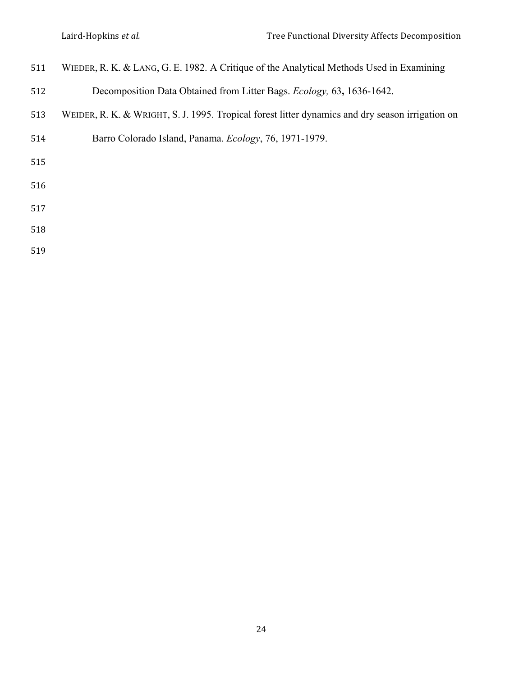- WIEDER, R. K. & LANG, G. E. 1982. A Critique of the Analytical Methods Used in Examining
- Decomposition Data Obtained from Litter Bags. *Ecology,* 63**,** 1636-1642.
- WEIDER, R. K. & WRIGHT, S. J. 1995. Tropical forest litter dynamics and dry season irrigation on
- Barro Colorado Island, Panama. *Ecology*, 76, 1971-1979.
- 
- 
- 
- 
-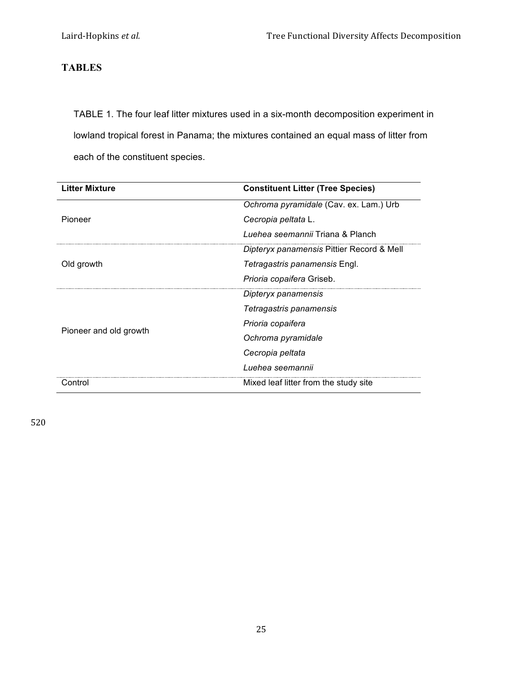# **TABLES**

TABLE 1. The four leaf litter mixtures used in a six-month decomposition experiment in lowland tropical forest in Panama; the mixtures contained an equal mass of litter from each of the constituent species.

| <b>Litter Mixture</b>  | <b>Constituent Litter (Tree Species)</b>  |
|------------------------|-------------------------------------------|
|                        | Ochroma pyramidale (Cav. ex. Lam.) Urb    |
| Pioneer                | Cecropia peltata L.                       |
|                        | Luehea seemannii Triana & Planch          |
| Old growth             | Dipteryx panamensis Pittier Record & Mell |
|                        | Tetragastris panamensis Engl.             |
|                        | <i>Prioria copaifera Griseb.</i>          |
|                        | Dipteryx panamensis                       |
|                        | Tetragastris panamensis                   |
|                        | Prioria copaifera                         |
| Pioneer and old growth | Ochroma pyramidale                        |
|                        | Cecropia peltata                          |
|                        | Luehea seemannii                          |
| Control                | Mixed leaf litter from the study site     |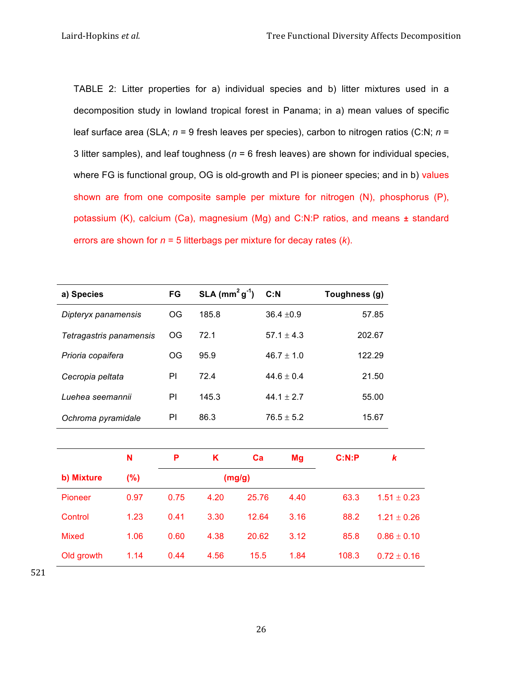TABLE 2: Litter properties for a) individual species and b) litter mixtures used in a decomposition study in lowland tropical forest in Panama; in a) mean values of specific leaf surface area (SLA; *n* = 9 fresh leaves per species), carbon to nitrogen ratios (C:N; *n* = 3 litter samples), and leaf toughness (*n* = 6 fresh leaves) are shown for individual species, where FG is functional group, OG is old-growth and PI is pioneer species; and in b) values shown are from one composite sample per mixture for nitrogen (N), phosphorus (P), potassium (K), calcium (Ca), magnesium (Mg) and C:N:P ratios, and means **±** standard errors are shown for *n* = 5 litterbags per mixture for decay rates (*k*).

| a) Species              | FG | $SLA$ (mm <sup>2</sup> g <sup>-1</sup> ) | C: N           | Toughness (g) |
|-------------------------|----|------------------------------------------|----------------|---------------|
| Dipteryx panamensis     | OG | 185.8                                    | $36.4 \pm 0.9$ | 57.85         |
| Tetragastris panamensis | OG | 721                                      | $57.1 + 4.3$   | 202.67        |
| Prioria copaifera       | OG | 95.9                                     | $46.7 \pm 1.0$ | 122.29        |
| Cecropia peltata        | ΡI | 72.4                                     | $44.6 + 0.4$   | 21.50         |
| Luehea seemannii        | ΡI | 145.3                                    | 44.1 $\pm$ 2.7 | 55.00         |
| Ochroma pyramidale      | ΡI | 86.3                                     | $76.5 \pm 5.2$ | 15.67         |

|                | N    | P    | Κ    | ca     | Mg   | C:N:P | k               |
|----------------|------|------|------|--------|------|-------|-----------------|
| b) Mixture     | (%)  |      |      | (mg/g) |      |       |                 |
| <b>Pioneer</b> | 0.97 | 0.75 | 4.20 | 25.76  | 4.40 | 63.3  | $1.51 \pm 0.23$ |
| Control        | 1.23 | 0.41 | 3.30 | 12.64  | 3.16 | 88.2  | $1.21 + 0.26$   |
| <b>Mixed</b>   | 1.06 | 0.60 | 4.38 | 20.62  | 3.12 | 85.8  | $0.86 \pm 0.10$ |
| Old growth     | 1.14 | 0.44 | 4.56 | 15.5   | 1.84 | 108.3 | $0.72 \pm 0.16$ |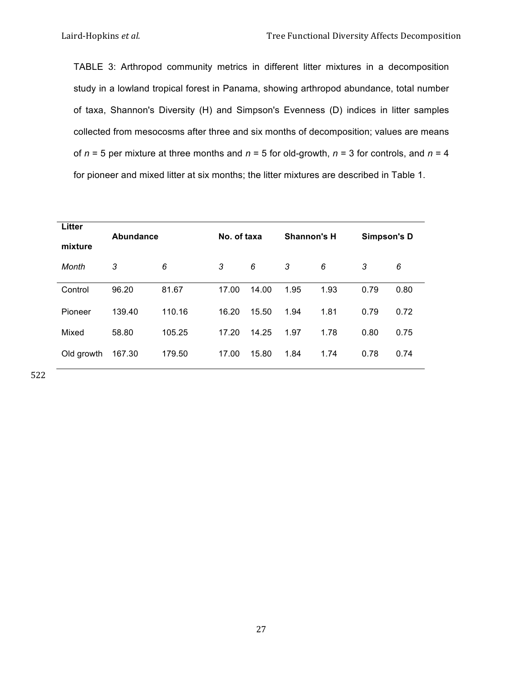TABLE 3: Arthropod community metrics in different litter mixtures in a decomposition study in a lowland tropical forest in Panama, showing arthropod abundance, total number of taxa, Shannon's Diversity (H) and Simpson's Evenness (D) indices in litter samples collected from mesocosms after three and six months of decomposition; values are means of *n* = 5 per mixture at three months and *n* = 5 for old-growth, *n* = 3 for controls, and *n* = 4 for pioneer and mixed litter at six months; the litter mixtures are described in Table 1.

| Litter<br>mixture | Abundance |        | No. of taxa |       | <b>Shannon's H</b> |      | Simpson's D |      |  |
|-------------------|-----------|--------|-------------|-------|--------------------|------|-------------|------|--|
| Month             | 3         | 6      | 3           | 6     | 3                  | 6    | 3           | 6    |  |
| Control           | 96.20     | 81.67  | 17.00       | 14.00 | 1.95               | 1.93 | 0.79        | 0.80 |  |
| Pioneer           | 139.40    | 110.16 | 16.20       | 15.50 | 1.94               | 1.81 | 0.79        | 0.72 |  |
| Mixed             | 58.80     | 105.25 | 17.20       | 14.25 | 1.97               | 1.78 | 0.80        | 0.75 |  |
| Old growth        | 167.30    | 179.50 | 17.00       | 15.80 | 1.84               | 1.74 | 0.78        | 0.74 |  |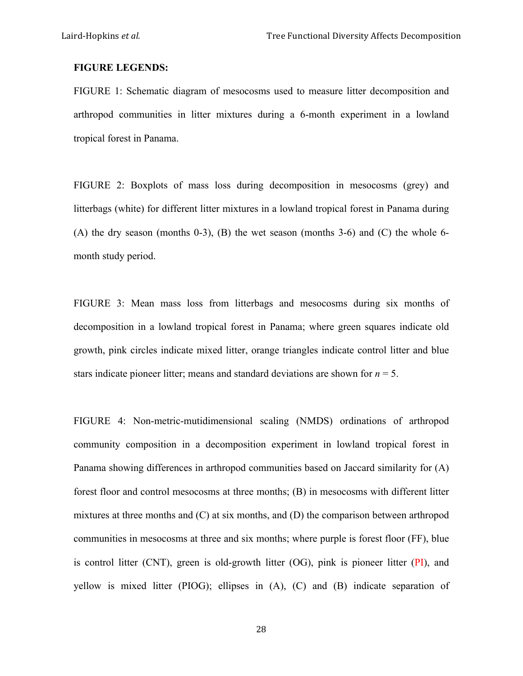# **FIGURE LEGENDS:**

FIGURE 1: Schematic diagram of mesocosms used to measure litter decomposition and arthropod communities in litter mixtures during a 6-month experiment in a lowland tropical forest in Panama.

FIGURE 2: Boxplots of mass loss during decomposition in mesocosms (grey) and litterbags (white) for different litter mixtures in a lowland tropical forest in Panama during  $(A)$  the dry season (months 0-3),  $(B)$  the wet season (months 3-6) and  $(C)$  the whole 6month study period.

FIGURE 3: Mean mass loss from litterbags and mesocosms during six months of decomposition in a lowland tropical forest in Panama; where green squares indicate old growth, pink circles indicate mixed litter, orange triangles indicate control litter and blue stars indicate pioneer litter; means and standard deviations are shown for  $n = 5$ .

FIGURE 4: Non-metric-mutidimensional scaling (NMDS) ordinations of arthropod community composition in a decomposition experiment in lowland tropical forest in Panama showing differences in arthropod communities based on Jaccard similarity for (A) forest floor and control mesocosms at three months; (B) in mesocosms with different litter mixtures at three months and (C) at six months, and (D) the comparison between arthropod communities in mesocosms at three and six months; where purple is forest floor (FF), blue is control litter (CNT), green is old-growth litter (OG), pink is pioneer litter (PI), and yellow is mixed litter (PIOG); ellipses in (A), (C) and (B) indicate separation of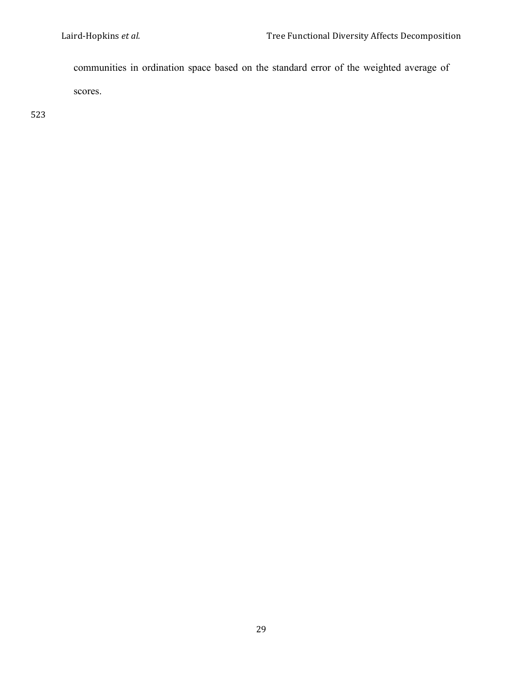communities in ordination space based on the standard error of the weighted average of scores.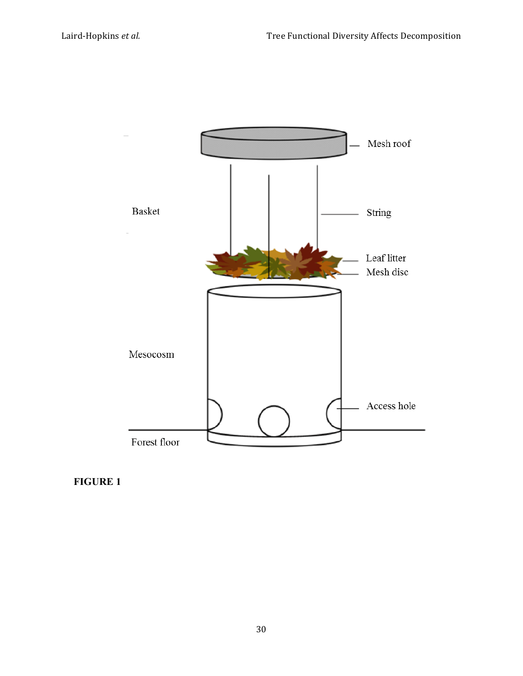

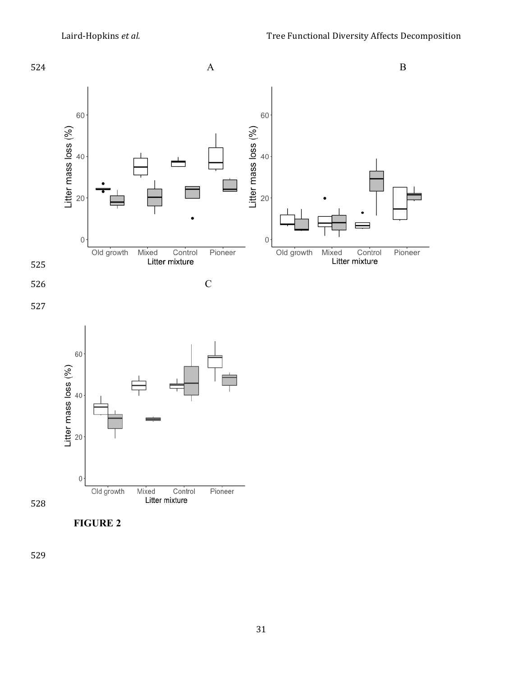

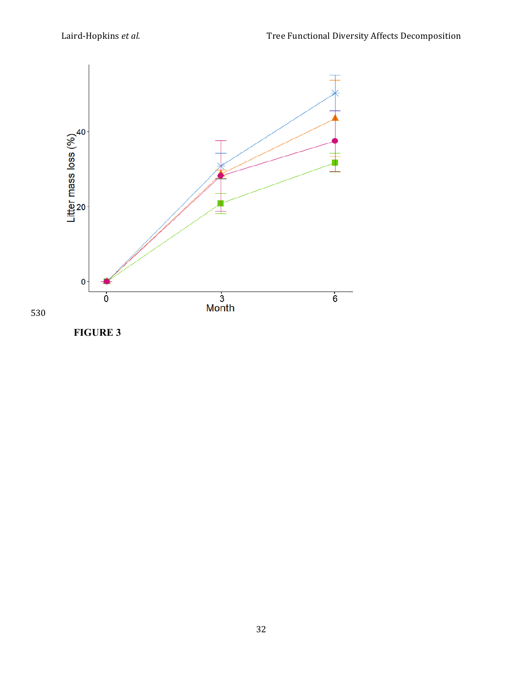

**FIGURE 3**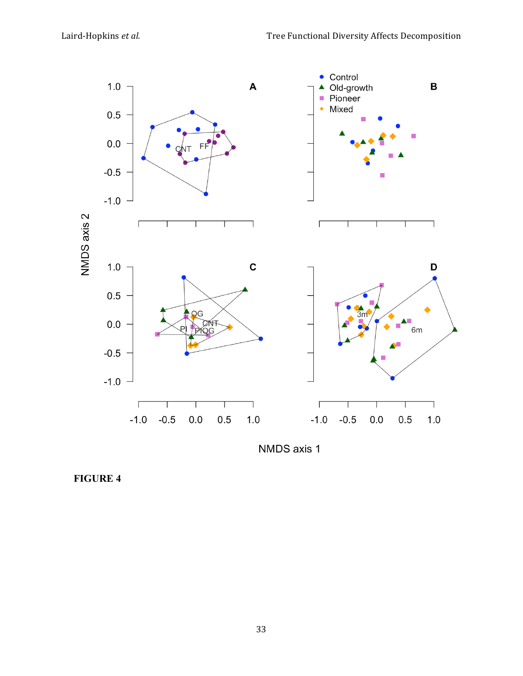

NMDS axis 1

**FIGURE 4**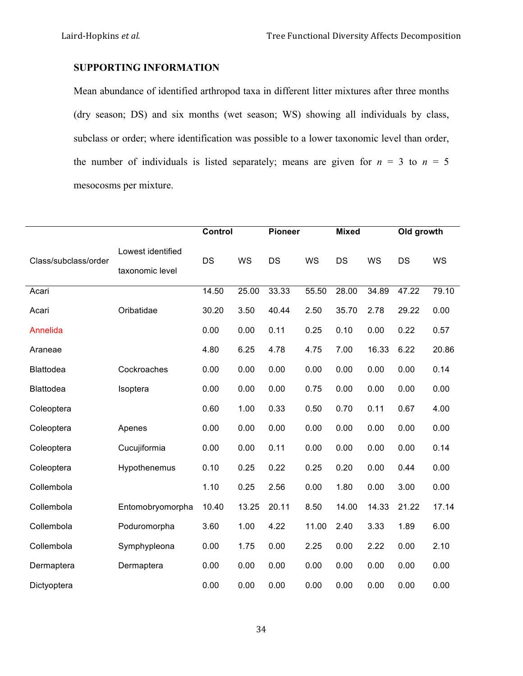# **SUPPORTING INFORMATION**

Mean abundance of identified arthropod taxa in different litter mixtures after three months (dry season; DS) and six months (wet season; WS) showing all individuals by class, subclass or order; where identification was possible to a lower taxonomic level than order, the number of individuals is listed separately; means are given for  $n = 3$  to  $n = 5$ mesocosms per mixture.

|                      |                                      | Control |           | <b>Pioneer</b> |           | <b>Mixed</b> |       | Old growth |       |
|----------------------|--------------------------------------|---------|-----------|----------------|-----------|--------------|-------|------------|-------|
| Class/subclass/order | Lowest identified<br>taxonomic level | DS      | <b>WS</b> | <b>DS</b>      | <b>WS</b> | DS           | WS    | <b>DS</b>  | WS    |
| Acari                |                                      | 14.50   | 25.00     | 33.33          | 55.50     | 28.00        | 34.89 | 47.22      | 79.10 |
| Acari                | Oribatidae                           | 30.20   | 3.50      | 40.44          | 2.50      | 35.70        | 2.78  | 29.22      | 0.00  |
| Annelida             |                                      | 0.00    | 0.00      | 0.11           | 0.25      | 0.10         | 0.00  | 0.22       | 0.57  |
| Araneae              |                                      | 4.80    | 6.25      | 4.78           | 4.75      | 7.00         | 16.33 | 6.22       | 20.86 |
| Blattodea            | Cockroaches                          | 0.00    | 0.00      | 0.00           | 0.00      | 0.00         | 0.00  | 0.00       | 0.14  |
| Blattodea            | Isoptera                             | 0.00    | 0.00      | 0.00           | 0.75      | 0.00         | 0.00  | 0.00       | 0.00  |
| Coleoptera           |                                      | 0.60    | 1.00      | 0.33           | 0.50      | 0.70         | 0.11  | 0.67       | 4.00  |
| Coleoptera           | Apenes                               | 0.00    | 0.00      | 0.00           | 0.00      | 0.00         | 0.00  | 0.00       | 0.00  |
| Coleoptera           | Cucujiformia                         | 0.00    | 0.00      | 0.11           | 0.00      | 0.00         | 0.00  | 0.00       | 0.14  |
| Coleoptera           | Hypothenemus                         | 0.10    | 0.25      | 0.22           | 0.25      | 0.20         | 0.00  | 0.44       | 0.00  |
| Collembola           |                                      | 1.10    | 0.25      | 2.56           | 0.00      | 1.80         | 0.00  | 3.00       | 0.00  |
| Collembola           | Entomobryomorpha                     | 10.40   | 13.25     | 20.11          | 8.50      | 14.00        | 14.33 | 21.22      | 17.14 |
| Collembola           | Poduromorpha                         | 3.60    | 1.00      | 4.22           | 11.00     | 2.40         | 3.33  | 1.89       | 6.00  |
| Collembola           | Symphypleona                         | 0.00    | 1.75      | 0.00           | 2.25      | 0.00         | 2.22  | 0.00       | 2.10  |
| Dermaptera           | Dermaptera                           | 0.00    | 0.00      | 0.00           | 0.00      | 0.00         | 0.00  | 0.00       | 0.00  |
| Dictyoptera          |                                      | 0.00    | 0.00      | 0.00           | 0.00      | 0.00         | 0.00  | 0.00       | 0.00  |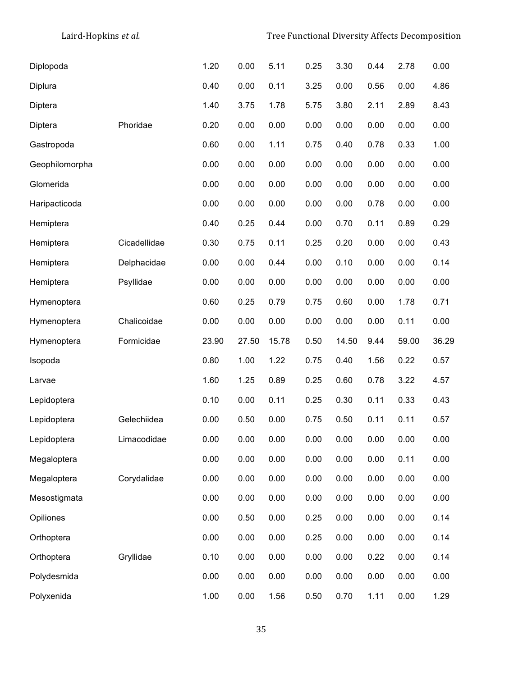| Diplopoda      |              | 1.20  | 0.00  | 5.11  | 0.25 | 3.30  | 0.44 | 2.78  | 0.00  |
|----------------|--------------|-------|-------|-------|------|-------|------|-------|-------|
| Diplura        |              | 0.40  | 0.00  | 0.11  | 3.25 | 0.00  | 0.56 | 0.00  | 4.86  |
| Diptera        |              | 1.40  | 3.75  | 1.78  | 5.75 | 3.80  | 2.11 | 2.89  | 8.43  |
| Diptera        | Phoridae     | 0.20  | 0.00  | 0.00  | 0.00 | 0.00  | 0.00 | 0.00  | 0.00  |
| Gastropoda     |              | 0.60  | 0.00  | 1.11  | 0.75 | 0.40  | 0.78 | 0.33  | 1.00  |
| Geophilomorpha |              | 0.00  | 0.00  | 0.00  | 0.00 | 0.00  | 0.00 | 0.00  | 0.00  |
| Glomerida      |              | 0.00  | 0.00  | 0.00  | 0.00 | 0.00  | 0.00 | 0.00  | 0.00  |
| Haripacticoda  |              | 0.00  | 0.00  | 0.00  | 0.00 | 0.00  | 0.78 | 0.00  | 0.00  |
| Hemiptera      |              | 0.40  | 0.25  | 0.44  | 0.00 | 0.70  | 0.11 | 0.89  | 0.29  |
| Hemiptera      | Cicadellidae | 0.30  | 0.75  | 0.11  | 0.25 | 0.20  | 0.00 | 0.00  | 0.43  |
| Hemiptera      | Delphacidae  | 0.00  | 0.00  | 0.44  | 0.00 | 0.10  | 0.00 | 0.00  | 0.14  |
| Hemiptera      | Psyllidae    | 0.00  | 0.00  | 0.00  | 0.00 | 0.00  | 0.00 | 0.00  | 0.00  |
| Hymenoptera    |              | 0.60  | 0.25  | 0.79  | 0.75 | 0.60  | 0.00 | 1.78  | 0.71  |
| Hymenoptera    | Chalicoidae  | 0.00  | 0.00  | 0.00  | 0.00 | 0.00  | 0.00 | 0.11  | 0.00  |
| Hymenoptera    | Formicidae   | 23.90 | 27.50 | 15.78 | 0.50 | 14.50 | 9.44 | 59.00 | 36.29 |
| Isopoda        |              | 0.80  | 1.00  | 1.22  | 0.75 | 0.40  | 1.56 | 0.22  | 0.57  |
| Larvae         |              |       |       |       |      |       |      |       |       |
|                |              | 1.60  | 1.25  | 0.89  | 0.25 | 0.60  | 0.78 | 3.22  | 4.57  |
| Lepidoptera    |              | 0.10  | 0.00  | 0.11  | 0.25 | 0.30  | 0.11 | 0.33  | 0.43  |
| Lepidoptera    | Gelechiidea  | 0.00  | 0.50  | 0.00  | 0.75 | 0.50  | 0.11 | 0.11  | 0.57  |
| Lepidoptera    | Limacodidae  | 0.00  | 0.00  | 0.00  | 0.00 | 0.00  | 0.00 | 0.00  | 0.00  |
| Megaloptera    |              | 0.00  | 0.00  | 0.00  | 0.00 | 0.00  | 0.00 | 0.11  | 0.00  |
| Megaloptera    | Corydalidae  | 0.00  | 0.00  | 0.00  | 0.00 | 0.00  | 0.00 | 0.00  | 0.00  |
| Mesostigmata   |              | 0.00  | 0.00  | 0.00  | 0.00 | 0.00  | 0.00 | 0.00  | 0.00  |
| Opiliones      |              | 0.00  | 0.50  | 0.00  | 0.25 | 0.00  | 0.00 | 0.00  | 0.14  |
| Orthoptera     |              | 0.00  | 0.00  | 0.00  | 0.25 | 0.00  | 0.00 | 0.00  | 0.14  |
| Orthoptera     | Gryllidae    | 0.10  | 0.00  | 0.00  | 0.00 | 0.00  | 0.22 | 0.00  | 0.14  |
| Polydesmida    |              | 0.00  | 0.00  | 0.00  | 0.00 | 0.00  | 0.00 | 0.00  | 0.00  |